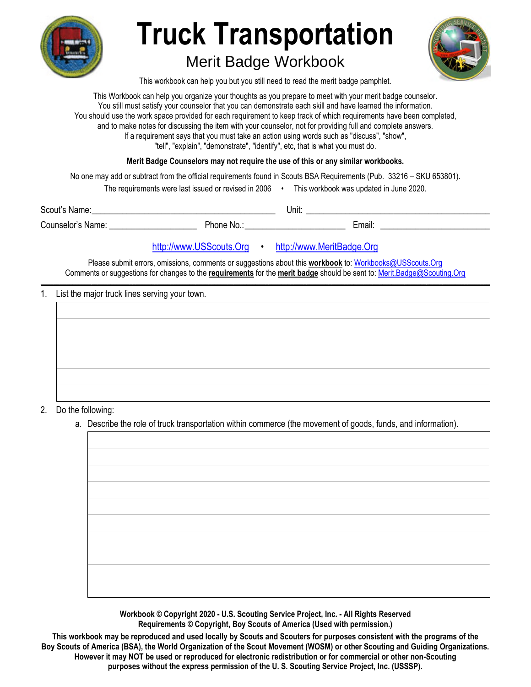

# **Truck Transportation**  Merit Badge Workbook

This workbook can help you but you still need to read the merit badge pamphlet.

This Workbook can help you organize your thoughts as you prepare to meet with your merit badge counselor. You still must satisfy your counselor that you can demonstrate each skill and have learned the information. You should use the work space provided for each requirement to keep track of which requirements have been completed, and to make notes for discussing the item with your counselor, not for providing full and complete answers. If a requirement says that you must take an action using words such as "discuss", "show", "tell", "explain", "demonstrate", "identify", etc, that is what you must do.

**Merit Badge Counselors may not require the use of this or any similar workbooks.**

No one may add or subtract from the official requirements found in Scouts BSA Requirements (Pub. 33216 – SKU 653801).

The requirements were last issued or revised in 2006 • This workbook was updated in June 2020.

Scout's Name: \_\_\_\_\_\_\_\_\_\_\_\_\_\_\_\_\_\_\_\_\_\_\_\_\_\_\_\_\_\_\_\_\_\_\_\_\_\_\_\_\_\_ Unit: \_\_\_\_\_\_\_\_\_\_\_\_\_\_\_\_\_\_\_\_\_\_\_\_\_\_\_\_\_\_\_\_\_\_\_\_\_\_\_\_\_\_ Counselor's Name: \_\_\_\_\_\_\_\_\_\_\_\_\_\_\_\_\_\_\_\_ Phone No.: \_\_\_\_\_\_\_\_\_\_\_\_\_\_\_\_\_\_\_\_\_\_\_ Email: \_\_\_\_\_\_\_\_\_\_\_\_\_\_\_\_\_\_\_\_\_\_\_\_\_

http://www.USScouts.Org • http://www.MeritBadge.Org

Please submit errors, omissions, comments or suggestions about this **workbook** to: Workbooks@USScouts.Org Comments or suggestions for changes to the **requirements** for the **merit badge** should be sent to: Merit.Badge@Scouting.Org *\_\_\_\_\_\_\_\_\_\_\_\_\_\_\_\_\_\_\_\_\_\_\_\_\_\_\_\_\_\_\_\_\_\_\_\_\_\_\_\_\_\_\_\_\_\_\_\_\_\_\_\_\_\_\_\_\_\_\_\_\_\_\_\_\_\_\_\_\_\_\_\_\_\_\_\_\_\_\_\_\_\_\_\_\_\_\_\_\_\_\_\_\_\_\_\_\_\_\_\_\_\_\_\_\_\_\_\_\_\_\_\_\_\_\_\_\_\_\_\_\_\_\_\_\_\_\_\_\_\_\_\_\_\_\_\_\_\_\_\_\_\_* 

#### 1. List the major truck lines serving your town.

#### 2. Do the following:

a. Describe the role of truck transportation within commerce (the movement of goods, funds, and information).

**Workbook © Copyright 2020 - U.S. Scouting Service Project, Inc. - All Rights Reserved Requirements © Copyright, Boy Scouts of America (Used with permission.)** 

**This workbook may be reproduced and used locally by Scouts and Scouters for purposes consistent with the programs of the Boy Scouts of America (BSA), the World Organization of the Scout Movement (WOSM) or other Scouting and Guiding Organizations. However it may NOT be used or reproduced for electronic redistribution or for commercial or other non-Scouting purposes without the express permission of the U. S. Scouting Service Project, Inc. (USSSP).**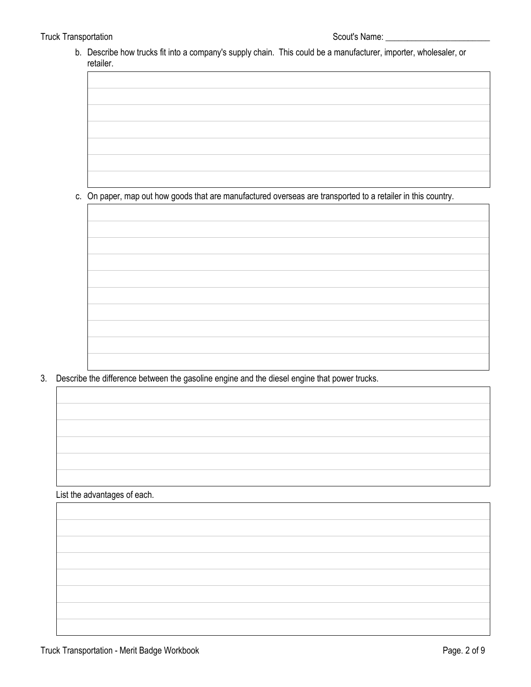b. Describe how trucks fit into a company's supply chain. This could be a manufacturer, importer, wholesaler, or retailer.

c. On paper, map out how goods that are manufactured overseas are transported to a retailer in this country.

3. Describe the difference between the gasoline engine and the diesel engine that power trucks.

List the advantages of each.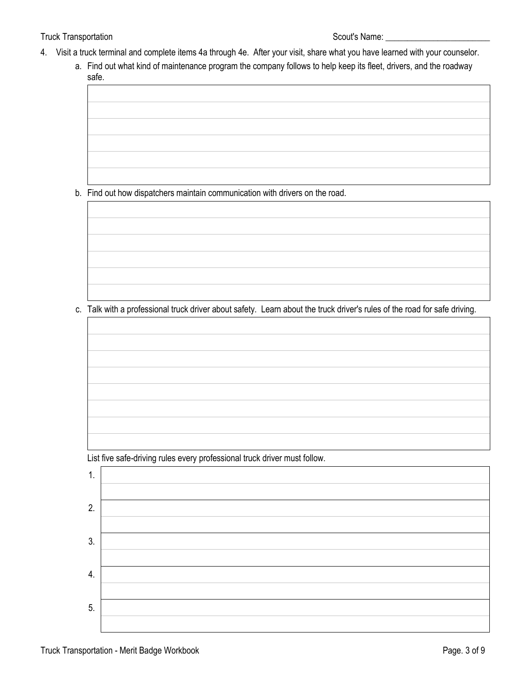### Truck Transportation Scout's Name: 1997

- 4. Visit a truck terminal and complete items 4a through 4e. After your visit, share what you have learned with your counselor.
	- a. Find out what kind of maintenance program the company follows to help keep its fleet, drivers, and the roadway safe.

b. Find out how dispatchers maintain communication with drivers on the road.

c. Talk with a professional truck driver about safety. Learn about the truck driver's rules of the road for safe driving.

List five safe-driving rules every professional truck driver must follow.

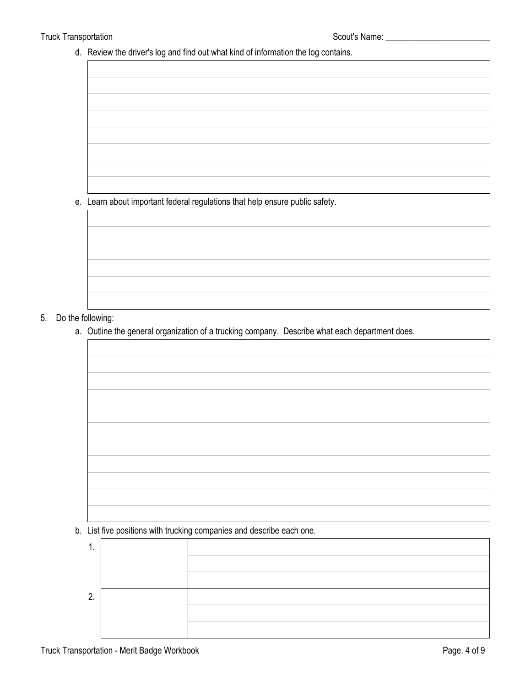d. Review the driver's log and find out what kind of information the log contains.

e. Learn about important federal regulations that help ensure public safety.

# 5. Do the following:

a. Outline the general organization of a trucking company. Describe what each department does.

b. List five positions with trucking companies and describe each one.

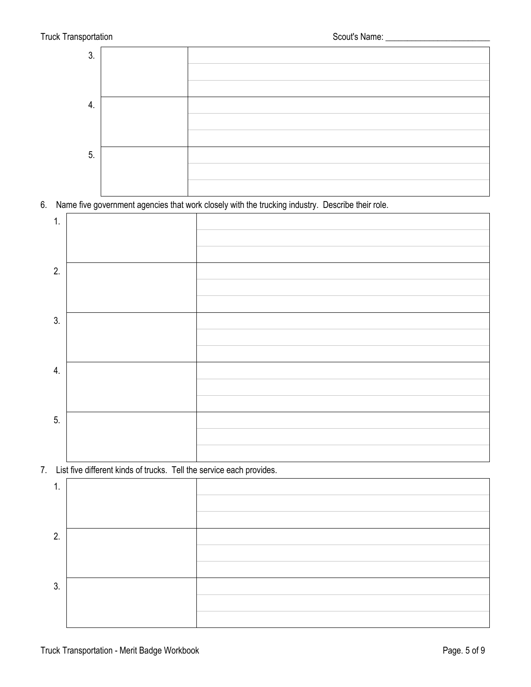

6. Name five government agencies that work closely with the trucking industry. Describe their role.



# 7. List five different kinds of trucks. Tell the service each provides.

| 2. |  |
|----|--|
|    |  |
|    |  |
| 3. |  |
|    |  |
|    |  |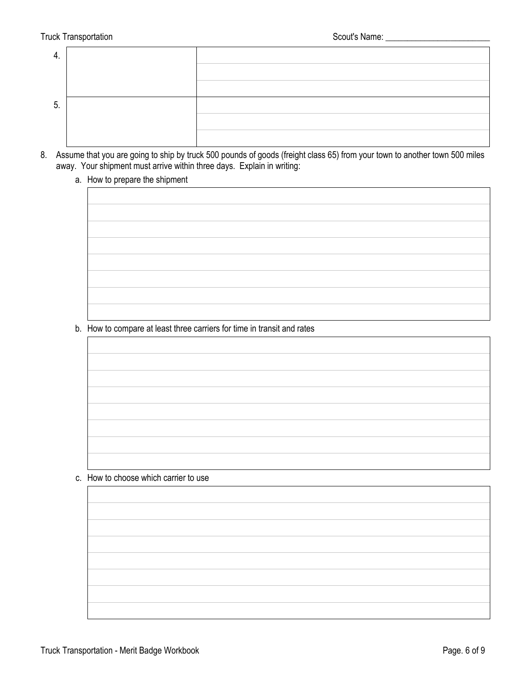| -<br>Ⴆ. |  |
|---------|--|
|         |  |
|         |  |

8. Assume that you are going to ship by truck 500 pounds of goods (freight class 65) from your town to another town 500 miles away. Your shipment must arrive within three days. Explain in writing:

### a. How to prepare the shipment

b. How to compare at least three carriers for time in transit and rates

c. How to choose which carrier to use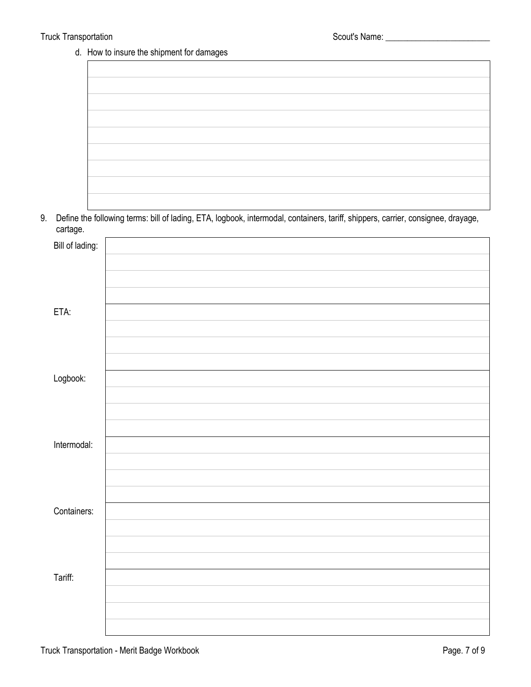# d. How to insure the shipment for damages

9. Define the following terms: bill of lading, ETA, logbook, intermodal, containers, tariff, shippers, carrier, consignee, drayage, cartage.

| Bill of lading: |  |
|-----------------|--|
|                 |  |
|                 |  |
|                 |  |
| ETA:            |  |
|                 |  |
|                 |  |
|                 |  |
| Logbook:        |  |
|                 |  |
|                 |  |
|                 |  |
| Intermodal:     |  |
|                 |  |
|                 |  |
|                 |  |
| Containers:     |  |
|                 |  |
|                 |  |
| Tariff:         |  |
|                 |  |
|                 |  |
|                 |  |
|                 |  |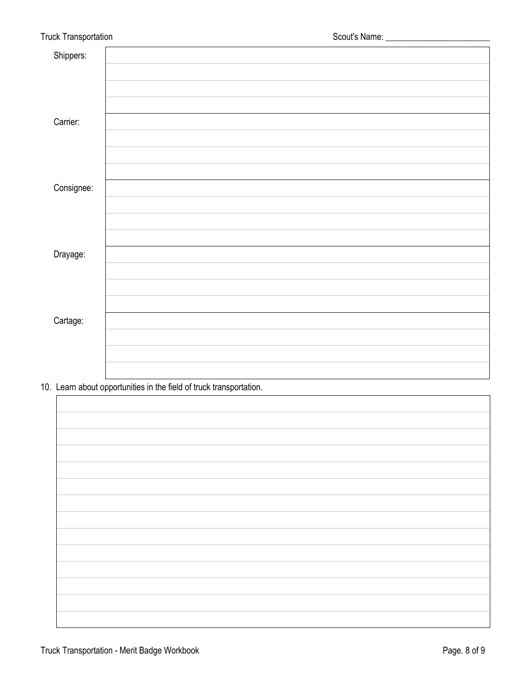| Shippers:  |  |
|------------|--|
|            |  |
|            |  |
|            |  |
| Carrier:   |  |
|            |  |
|            |  |
|            |  |
| Consignee: |  |
|            |  |
|            |  |
|            |  |
| Drayage:   |  |
|            |  |
|            |  |
|            |  |
| Cartage:   |  |
|            |  |
|            |  |
|            |  |

10. Learn about opportunities in the field of truck transportation.